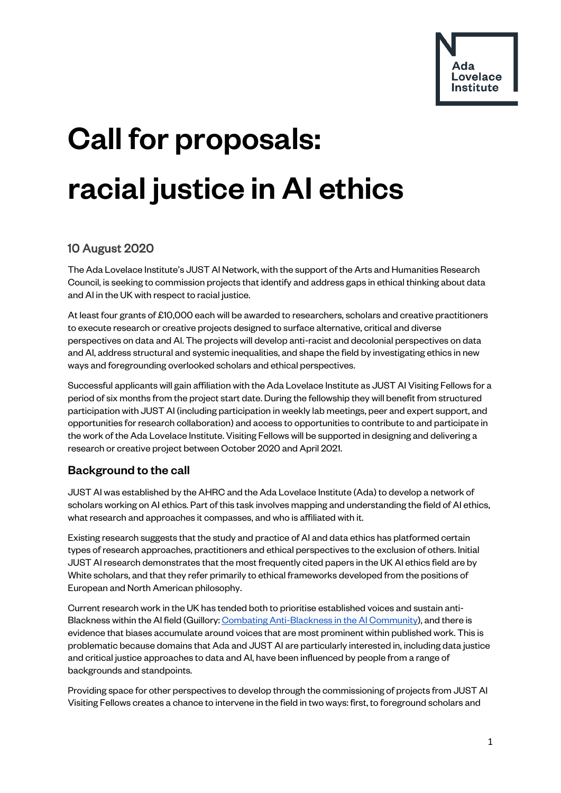

# Call for proposals: racial justice in AI ethics

# 10 August 2020

The Ada Lovelace Institute's JUST AI Network, with the support of the Arts and Humanities Research Council, is seeking to commission projects that identify and address gaps in ethical thinking about data and AI in the UK with respect to racial justice.

At least four grants of £10,000 each will be awarded to researchers, scholars and creative practitioners to execute research or creative projects designed to surface alternative, critical and diverse perspectives on data and AI. The projects will develop anti-racist and decolonial perspectives on data and AI, address structural and systemic inequalities, and shape the field by investigating ethics in new ways and foregrounding overlooked scholars and ethical perspectives.

Successful applicants will gain affiliation with the Ada Lovelace Institute as JUST AI Visiting Fellows for a period of six months from the project start date. During the fellowship they will benefit from structured participation with JUST AI (including participation in weekly lab meetings, peer and expert support, and opportunities for research collaboration) and access to opportunities to contribute to and participate in the work of the Ada Lovelace Institute. Visiting Fellows will be supported in designing and delivering a research or creative project between October 2020 and April 2021.

## Background to the call

JUST AI was established by the AHRC and the Ada Lovelace Institute (Ada) to develop a network of scholars working on AI ethics. Part of this task involves mapping and understanding the field of AI ethics, what research and approaches it compasses, and who is affiliated with it.

Existing research suggests that the study and practice of AI and data ethics has platformed certain types of research approaches, practitioners and ethical perspectives to the exclusion of others. Initial JUST AI research demonstrates that the most frequently cited papers in the UK AI ethics field are by White scholars, and that they refer primarily to ethical frameworks developed from the positions of European and North American philosophy.

Current research work in the UK has tended both to prioritise established voices and sustain anti-Blackness within the AI field (Guillory[: Combating Anti-Blackness in the AI Community\)](http://www.devinguillory.com/files/AI_Anti_Blackness.pdf), and there is evidence that biases accumulate around voices that are most prominent within published work. This is problematic because domains that Ada and JUST AI are particularly interested in, including data justice and critical justice approaches to data and AI, have been influenced by people from a range of backgrounds and standpoints.

Providing space for other perspectives to develop through the commissioning of projects from JUST AI Visiting Fellows creates a chance to intervene in the field in two ways: first, to foreground scholars and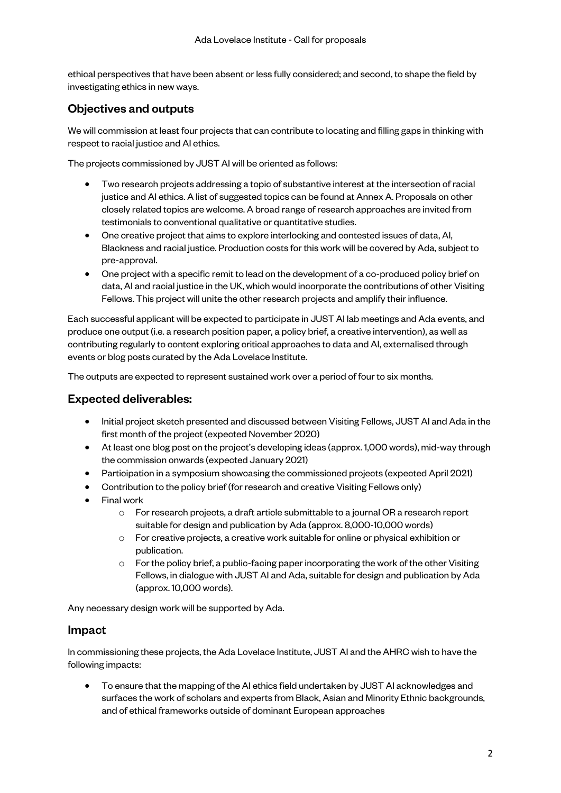ethical perspectives that have been absent or less fully considered; and second, to shape the field by investigating ethics in new ways.

## Objectives and outputs

We will commission at least four projects that can contribute to locating and filling gaps in thinking with respect to racial justice and AI ethics.

The projects commissioned by JUST AI will be oriented as follows:

- Two research projects addressing a topic of substantive interest at the intersection of racial justice and AI ethics. A list of suggested topics can be found at Annex A. Proposals on other closely related topics are welcome. A broad range of research approaches are invited from testimonials to conventional qualitative or quantitative studies.
- One creative project that aims to explore interlocking and contested issues of data, AI, Blackness and racial justice. Production costs for this work will be covered by Ada, subject to pre-approval.
- One project with a specific remit to lead on the development of a co-produced policy brief on data, AI and racial justice in the UK, which would incorporate the contributions of other Visiting Fellows. This project will unite the other research projects and amplify their influence.

Each successful applicant will be expected to participate in JUST AI lab meetings and Ada events, and produce one output (i.e. a research position paper, a policy brief, a creative intervention), as well as contributing regularly to content exploring critical approaches to data and AI, externalised through events or blog posts curated by the Ada Lovelace Institute.

The outputs are expected to represent sustained work over a period of four to six months.

### Expected deliverables:

- Initial project sketch presented and discussed between Visiting Fellows, JUST AI and Ada in the first month of the project (expected November 2020)
- At least one blog post on the project's developing ideas (approx. 1,000 words), mid-way through the commission onwards (expected January 2021)
- Participation in a symposium showcasing the commissioned projects (expected April 2021)
- Contribution to the policy brief (for research and creative Visiting Fellows only)
- Final work
	- o For research projects, a draft article submittable to a journal OR a research report suitable for design and publication by Ada (approx. 8,000-10,000 words)
	- o For creative projects, a creative work suitable for online or physical exhibition or publication.
	- $\circ$  For the policy brief, a public-facing paper incorporating the work of the other Visiting Fellows, in dialogue with JUST AI and Ada, suitable for design and publication by Ada (approx. 10,000 words).

Any necessary design work will be supported by Ada.

#### Impact

In commissioning these projects, the Ada Lovelace Institute, JUST AI and the AHRC wish to have the following impacts:

• To ensure that the mapping of the AI ethics field undertaken by JUST AI acknowledges and surfaces the work of scholars and experts from Black, Asian and Minority Ethnic backgrounds, and of ethical frameworks outside of dominant European approaches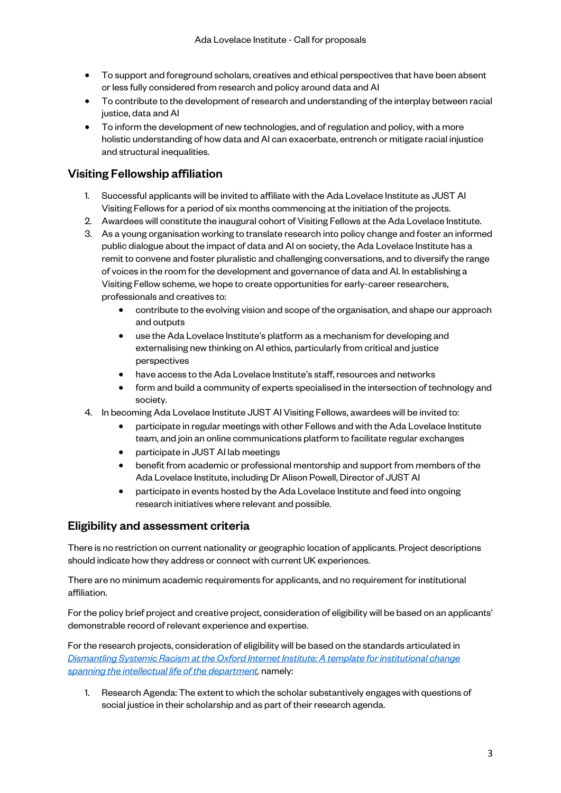- To support and foreground scholars, creatives and ethical perspectives that have been absent or less fully considered from research and policy around data and AI
- To contribute to the development of research and understanding of the interplay between racial justice, data and AI
- To inform the development of new technologies, and of regulation and policy, with a more holistic understanding of how data and AI can exacerbate, entrench or mitigate racial injustice and structural inequalities.

## Visiting Fellowship affiliation

- 1. Successful applicants will be invited to affiliate with the Ada Lovelace Institute as JUST AI Visiting Fellows for a period of six months commencing at the initiation of the projects.
- 2. Awardees will constitute the inaugural cohort of Visiting Fellows at the Ada Lovelace Institute.
- 3. As a young organisation working to translate research into policy change and foster an informed public dialogue about the impact of data and AI on society, the Ada Lovelace Institute has a remit to convene and foster pluralistic and challenging conversations, and to diversify the range of voices in the room for the development and governance of data and AI. In establishing a Visiting Fellow scheme, we hope to create opportunities for early-career researchers, professionals and creatives to:
	- contribute to the evolving vision and scope of the organisation, and shape our approach and outputs
	- use the Ada Lovelace Institute's platform as a mechanism for developing and externalising new thinking on AI ethics, particularly from critical and justice perspectives
	- have access to the Ada Lovelace Institute's staff, resources and networks
	- form and build a community of experts specialised in the intersection of technology and society.
- 4. In becoming Ada Lovelace Institute JUST AI Visiting Fellows, awardees will be invited to:
	- participate in regular meetings with other Fellows and with the Ada Lovelace Institute team, and join an online communications platform to facilitate regular exchanges
	- participate in JUST AI lab meetings
	- benefit from academic or professional mentorship and support from members of the Ada Lovelace Institute, including Dr Alison Powell, Director of JUST AI
	- participate in events hosted by the Ada Lovelace Institute and feed into ongoing research initiatives where relevant and possible.

#### Eligibility and assessment criteria

There is no restriction on current nationality or geographic location of applicants. Project descriptions should indicate how they address or connect with current UK experiences.

There are no minimum academic requirements for applicants, and no requirement for institutional affiliation.

For the policy brief project and creative project, consideration of eligibility will be based on an applicants' demonstrable record of relevant experience and expertise.

For the research projects, consideration of eligibility will be based on the standards articulated in *[Dismantling Systemic Racism at the Oxford Internet Institute: A template for institutional change](https://docs.google.com/forms/d/e/1FAIpQLScm8uANLU82FnRacOOoHf5NfsWMqdiN1ARk-OHjWjpyw5R7Xw/viewform)  [spanning the intellectual life of the department,](https://docs.google.com/forms/d/e/1FAIpQLScm8uANLU82FnRacOOoHf5NfsWMqdiN1ARk-OHjWjpyw5R7Xw/viewform)* namely:

1. Research Agenda: The extent to which the scholar substantively engages with questions of social justice in their scholarship and as part of their research agenda.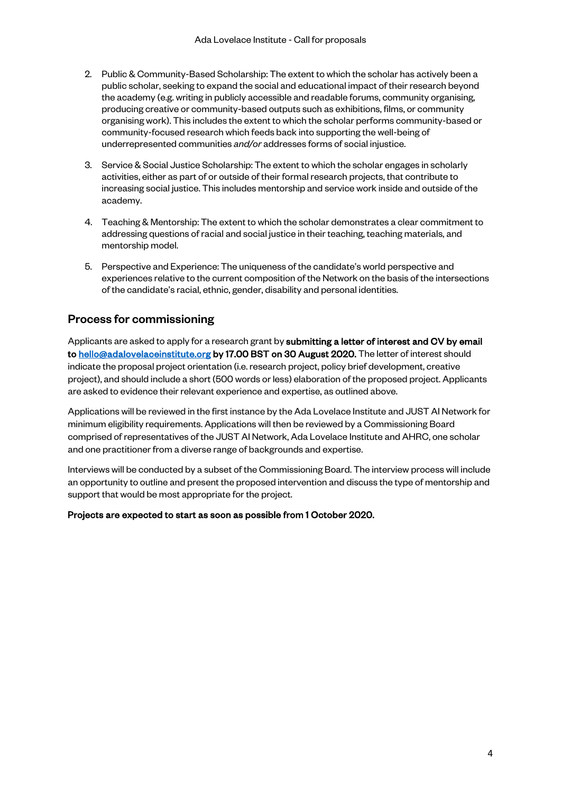- 2. Public & Community-Based Scholarship: The extent to which the scholar has actively been a public scholar, seeking to expand the social and educational impact of their research beyond the academy (e.g. writing in publicly accessible and readable forums, community organising, producing creative or community-based outputs such as exhibitions, films, or community organising work). This includes the extent to which the scholar performs community-based or community-focused research which feeds back into supporting the well-being of underrepresented communities *and/or* addresses forms of social injustice.
- 3. Service & Social Justice Scholarship: The extent to which the scholar engages in scholarly activities, either as part of or outside of their formal research projects, that contribute to increasing social justice. This includes mentorship and service work inside and outside of the academy.
- 4. Teaching & Mentorship: The extent to which the scholar demonstrates a clear commitment to addressing questions of racial and social justice in their teaching, teaching materials, and mentorship model.
- 5. Perspective and Experience: The uniqueness of the candidate's world perspective and experiences relative to the current composition of the Network on the basis of the intersections of the candidate's racial, ethnic, gender, disability and personal identities.

#### Process for commissioning

Applicants are asked to apply for a research grant by submitting a letter of interest and CV by email t[o hello@adalovelaceinstitute.org](mailto:hello@adalovelaceinstitute.org) by 17.00 BST on 30 August 2020. The letter of interest should indicate the proposal project orientation (i.e. research project, policy brief development, creative project), and should include a short (500 words or less) elaboration of the proposed project. Applicants are asked to evidence their relevant experience and expertise, as outlined above.

Applications will be reviewed in the first instance by the Ada Lovelace Institute and JUST AI Network for minimum eligibility requirements. Applications will then be reviewed by a Commissioning Board comprised of representatives of the JUST AI Network, Ada Lovelace Institute and AHRC, one scholar and one practitioner from a diverse range of backgrounds and expertise.

Interviews will be conducted by a subset of the Commissioning Board. The interview process will include an opportunity to outline and present the proposed intervention and discuss the type of mentorship and support that would be most appropriate for the project.

#### Projects are expected to start as soon as possible from 1 October 2020.